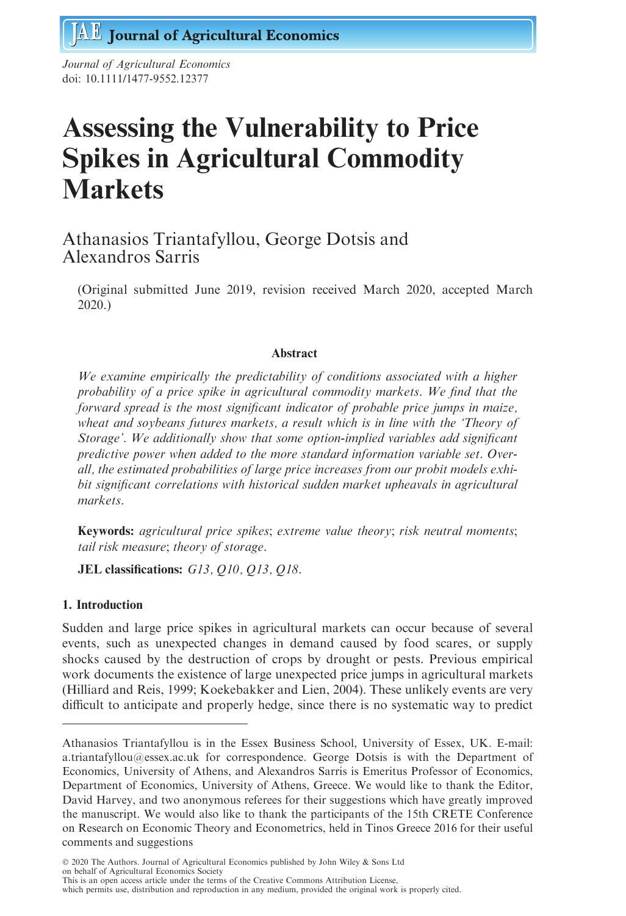Journal of Agricultural Economics doi: 10.1111/1477-9552.12377

# Assessing the Vulnerability to Price Spikes in Agricultural Commodity **Markets**

# Athanasios Triantafyllou, George Dotsis and Alexandros Sarris

(Original submitted June 2019, revision received March 2020, accepted March 2020.)

# Abstract

We examine empirically the predictability of conditions associated with a higher probability of a price spike in agricultural commodity markets. We find that the forward spread is the most significant indicator of probable price jumps in maize, wheat and soybeans futures markets, a result which is in line with the 'Theory of Storage'. We additionally show that some option-implied variables add significant predictive power when added to the more standard information variable set. Overall, the estimated probabilities of large price increases from our probit models exhibit significant correlations with historical sudden market upheavals in agricultural markets.

Keywords: agricultural price spikes; extreme value theory; risk neutral moments; tail risk measure; theory of storage.

JEL classifications: G13, Q10, Q13, Q18.

# 1. Introduction

Sudden and large price spikes in agricultural markets can occur because of several events, such as unexpected changes in demand caused by food scares, or supply shocks caused by the destruction of crops by drought or pests. Previous empirical work documents the existence of large unexpected price jumps in agricultural markets (Hilliard and Reis, 1999; Koekebakker and Lien, 2004). These unlikely events are very difficult to anticipate and properly hedge, since there is no systematic way to predict

 2020 The Authors. Journal of Agricultural Economics published by John Wiley & Sons Ltd on behalf of Agricultural Economics Society This is an open access article under the terms of the [Creative Commons Attribution](http://creativecommons.org/licenses/by/4.0/) License,

which permits use, distribution and reproduction in any medium, provided the original work is properly cited.

Athanasios Triantafyllou is in the Essex Business School, University of Essex, UK. E-mail: a.triantafyllou@essex.ac.uk for correspondence. George Dotsis is with the Department of Economics, University of Athens, and Alexandros Sarris is Emeritus Professor of Economics, Department of Economics, University of Athens, Greece. We would like to thank the Editor, David Harvey, and two anonymous referees for their suggestions which have greatly improved the manuscript. We would also like to thank the participants of the 15th CRETE Conference on Research on Economic Theory and Econometrics, held in Tinos Greece 2016 for their useful comments and suggestions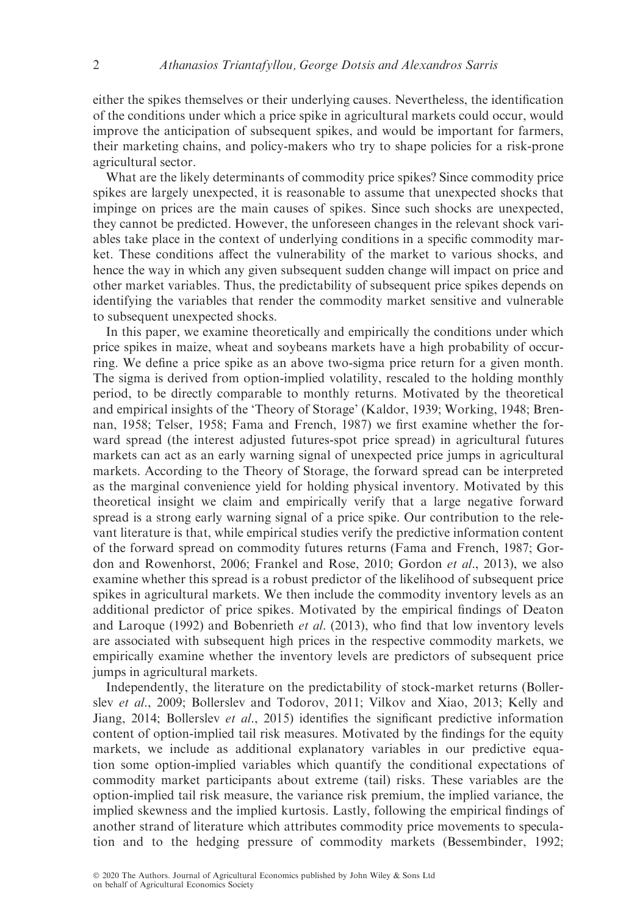either the spikes themselves or their underlying causes. Nevertheless, the identification of the conditions under which a price spike in agricultural markets could occur, would improve the anticipation of subsequent spikes, and would be important for farmers, their marketing chains, and policy-makers who try to shape policies for a risk-prone agricultural sector.

What are the likely determinants of commodity price spikes? Since commodity price spikes are largely unexpected, it is reasonable to assume that unexpected shocks that impinge on prices are the main causes of spikes. Since such shocks are unexpected, they cannot be predicted. However, the unforeseen changes in the relevant shock variables take place in the context of underlying conditions in a specific commodity market. These conditions affect the vulnerability of the market to various shocks, and hence the way in which any given subsequent sudden change will impact on price and other market variables. Thus, the predictability of subsequent price spikes depends on identifying the variables that render the commodity market sensitive and vulnerable to subsequent unexpected shocks.

In this paper, we examine theoretically and empirically the conditions under which price spikes in maize, wheat and soybeans markets have a high probability of occurring. We define a price spike as an above two-sigma price return for a given month. The sigma is derived from option-implied volatility, rescaled to the holding monthly period, to be directly comparable to monthly returns. Motivated by the theoretical and empirical insights of the 'Theory of Storage' (Kaldor, 1939; Working, 1948; Brennan, 1958; Telser, 1958; Fama and French, 1987) we first examine whether the forward spread (the interest adjusted futures-spot price spread) in agricultural futures markets can act as an early warning signal of unexpected price jumps in agricultural markets. According to the Theory of Storage, the forward spread can be interpreted as the marginal convenience yield for holding physical inventory. Motivated by this theoretical insight we claim and empirically verify that a large negative forward spread is a strong early warning signal of a price spike. Our contribution to the relevant literature is that, while empirical studies verify the predictive information content of the forward spread on commodity futures returns (Fama and French, 1987; Gordon and Rowenhorst, 2006; Frankel and Rose, 2010; Gordon et al., 2013), we also examine whether this spread is a robust predictor of the likelihood of subsequent price spikes in agricultural markets. We then include the commodity inventory levels as an additional predictor of price spikes. Motivated by the empirical findings of Deaton and Laroque (1992) and Bobenrieth et al. (2013), who find that low inventory levels are associated with subsequent high prices in the respective commodity markets, we empirically examine whether the inventory levels are predictors of subsequent price jumps in agricultural markets.

Independently, the literature on the predictability of stock-market returns (Bollerslev et al., 2009; Bollerslev and Todorov, 2011; Vilkov and Xiao, 2013; Kelly and Jiang, 2014; Bollerslev et al., 2015) identifies the significant predictive information content of option-implied tail risk measures. Motivated by the findings for the equity markets, we include as additional explanatory variables in our predictive equation some option-implied variables which quantify the conditional expectations of commodity market participants about extreme (tail) risks. These variables are the option-implied tail risk measure, the variance risk premium, the implied variance, the implied skewness and the implied kurtosis. Lastly, following the empirical findings of another strand of literature which attributes commodity price movements to speculation and to the hedging pressure of commodity markets (Bessembinder, 1992;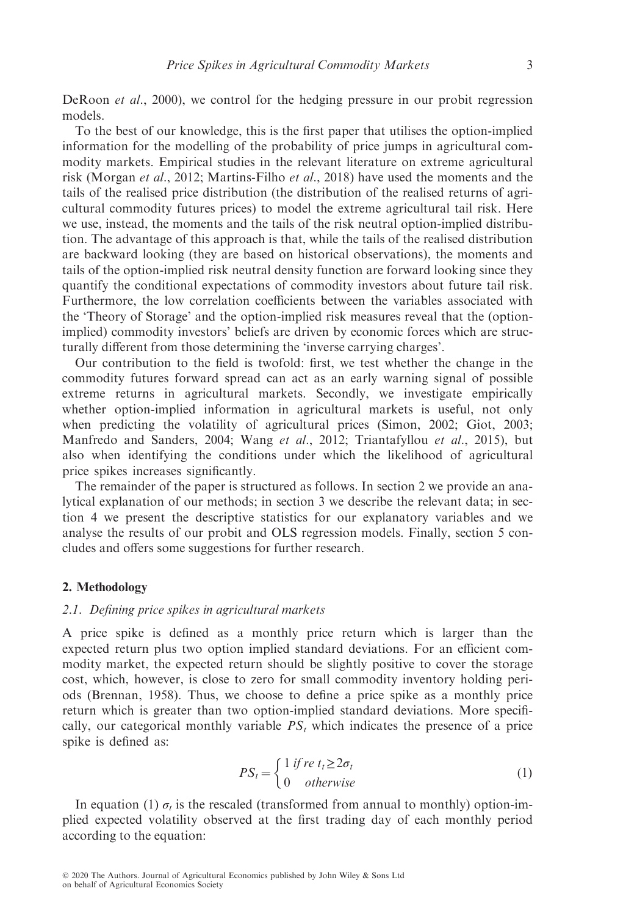DeRoon *et al.*, 2000), we control for the hedging pressure in our probit regression models.

To the best of our knowledge, this is the first paper that utilises the option-implied information for the modelling of the probability of price jumps in agricultural commodity markets. Empirical studies in the relevant literature on extreme agricultural risk (Morgan et al., 2012; Martins-Filho et al., 2018) have used the moments and the tails of the realised price distribution (the distribution of the realised returns of agricultural commodity futures prices) to model the extreme agricultural tail risk. Here we use, instead, the moments and the tails of the risk neutral option-implied distribution. The advantage of this approach is that, while the tails of the realised distribution are backward looking (they are based on historical observations), the moments and tails of the option-implied risk neutral density function are forward looking since they quantify the conditional expectations of commodity investors about future tail risk. Furthermore, the low correlation coefficients between the variables associated with the 'Theory of Storage' and the option-implied risk measures reveal that the (optionimplied) commodity investors' beliefs are driven by economic forces which are structurally different from those determining the 'inverse carrying charges'.

Our contribution to the field is twofold: first, we test whether the change in the commodity futures forward spread can act as an early warning signal of possible extreme returns in agricultural markets. Secondly, we investigate empirically whether option-implied information in agricultural markets is useful, not only when predicting the volatility of agricultural prices (Simon, 2002; Giot, 2003; Manfredo and Sanders, 2004; Wang et al., 2012; Triantafyllou et al., 2015), but also when identifying the conditions under which the likelihood of agricultural price spikes increases significantly.

The remainder of the paper is structured as follows. In section 2 we provide an analytical explanation of our methods; in section 3 we describe the relevant data; in section 4 we present the descriptive statistics for our explanatory variables and we analyse the results of our probit and OLS regression models. Finally, section 5 concludes and offers some suggestions for further research.

#### 2. Methodology

#### 2.1. Defining price spikes in agricultural markets

A price spike is defined as a monthly price return which is larger than the expected return plus two option implied standard deviations. For an efficient commodity market, the expected return should be slightly positive to cover the storage cost, which, however, is close to zero for small commodity inventory holding periods (Brennan, 1958). Thus, we choose to define a price spike as a monthly price return which is greater than two option-implied standard deviations. More specifically, our categorical monthly variable  $PS<sub>t</sub>$  which indicates the presence of a price spike is defined as:

$$
PS_t = \begin{cases} 1 & \text{if } re \ t_t \ge 2\sigma_t \\ 0 & \text{otherwise} \end{cases}
$$
 (1)

In equation (1)  $\sigma_t$  is the rescaled (transformed from annual to monthly) option-implied expected volatility observed at the first trading day of each monthly period according to the equation: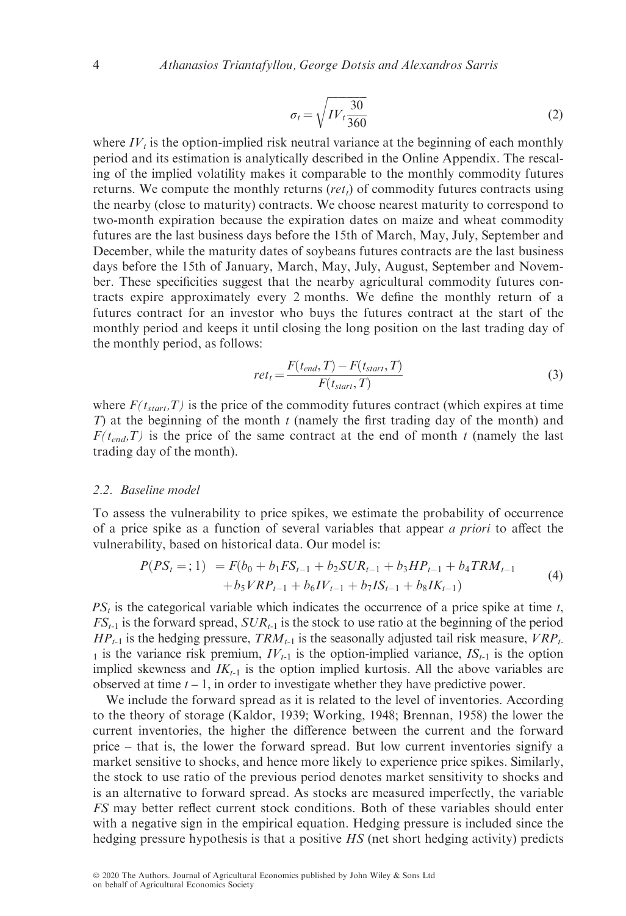$$
\sigma_t = \sqrt{IV_t \frac{30}{360}}\tag{2}
$$

where  $IV<sub>t</sub>$  is the option-implied risk neutral variance at the beginning of each monthly period and its estimation is analytically described in the Online Appendix. The rescaling of the implied volatility makes it comparable to the monthly commodity futures returns. We compute the monthly returns  $(ret<sub>t</sub>)$  of commodity futures contracts using the nearby (close to maturity) contracts. We choose nearest maturity to correspond to two-month expiration because the expiration dates on maize and wheat commodity futures are the last business days before the 15th of March, May, July, September and December, while the maturity dates of soybeans futures contracts are the last business days before the 15th of January, March, May, July, August, September and November. These specificities suggest that the nearby agricultural commodity futures contracts expire approximately every 2 months. We define the monthly return of a futures contract for an investor who buys the futures contract at the start of the monthly period and keeps it until closing the long position on the last trading day of the monthly period, as follows:

$$
ret_t = \frac{F(t_{end}, T) - F(t_{start}, T)}{F(t_{start}, T)}
$$
(3)

where  $F(t<sub>start</sub>,T)$  is the price of the commodity futures contract (which expires at time T) at the beginning of the month  $t$  (namely the first trading day of the month) and  $F(t_{end},T)$  is the price of the same contract at the end of month t (namely the last trading day of the month).

#### 2.2. Baseline model

To assess the vulnerability to price spikes, we estimate the probability of occurrence of a price spike as a function of several variables that appear a priori to affect the vulnerability, based on historical data. Our model is:

$$
P(PSt =; 1) = F(b0 + b1FSt-1 + b2SURt-1 + b3HPt-1 + b4TRMt-1 + b5VRPt-1 + b6IVt-1 + b7ISt-1 + b8IKt-1)
$$
\n(4)

 $PS<sub>t</sub>$  is the categorical variable which indicates the occurrence of a price spike at time t,  $FS_{t-1}$  is the forward spread,  $SUR_{t-1}$  is the stock to use ratio at the beginning of the period  $HP_{t-1}$  is the hedging pressure,  $TRM_{t-1}$  is the seasonally adjusted tail risk measure,  $VRP_{t-1}$ 1 is the variance risk premium,  $IV_{t-1}$  is the option-implied variance,  $IS_{t-1}$  is the option implied skewness and  $IK_{t-1}$  is the option implied kurtosis. All the above variables are observed at time  $t - 1$ , in order to investigate whether they have predictive power.

We include the forward spread as it is related to the level of inventories. According to the theory of storage (Kaldor, 1939; Working, 1948; Brennan, 1958) the lower the current inventories, the higher the difference between the current and the forward price – that is, the lower the forward spread. But low current inventories signify a market sensitive to shocks, and hence more likely to experience price spikes. Similarly, the stock to use ratio of the previous period denotes market sensitivity to shocks and is an alternative to forward spread. As stocks are measured imperfectly, the variable FS may better reflect current stock conditions. Both of these variables should enter with a negative sign in the empirical equation. Hedging pressure is included since the hedging pressure hypothesis is that a positive HS (net short hedging activity) predicts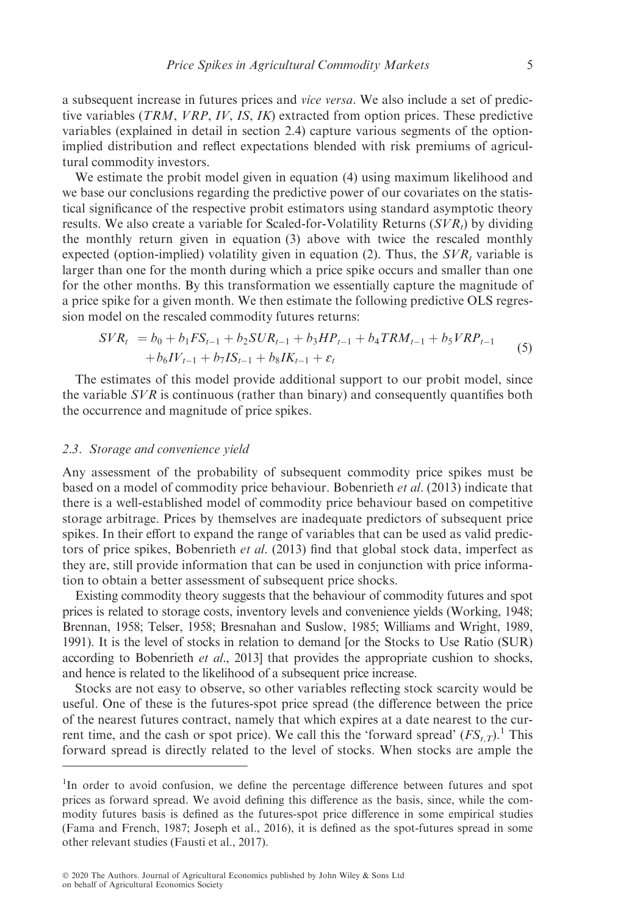a subsequent increase in futures prices and *vice versa*. We also include a set of predictive variables (TRM, VRP, IV, IS, IK) extracted from option prices. These predictive variables (explained in detail in section 2.4) capture various segments of the optionimplied distribution and reflect expectations blended with risk premiums of agricultural commodity investors.

We estimate the probit model given in equation (4) using maximum likelihood and we base our conclusions regarding the predictive power of our covariates on the statistical significance of the respective probit estimators using standard asymptotic theory results. We also create a variable for Scaled-for-Volatility Returns  $(SVR_t)$  by dividing the monthly return given in equation (3) above with twice the rescaled monthly expected (option-implied) volatility given in equation (2). Thus, the  $SVR$ , variable is larger than one for the month during which a price spike occurs and smaller than one for the other months. By this transformation we essentially capture the magnitude of a price spike for a given month. We then estimate the following predictive OLS regression model on the rescaled commodity futures returns:

$$
SVR_t = b_0 + b_1 FS_{t-1} + b_2 SVR_{t-1} + b_3 HP_{t-1} + b_4TRM_{t-1} + b_5 VRP_{t-1} + b_6IV_{t-1} + b_7IS_{t-1} + b_8IK_{t-1} + \varepsilon_t
$$
\n
$$
(5)
$$

The estimates of this model provide additional support to our probit model, since the variable  $SVR$  is continuous (rather than binary) and consequently quantifies both the occurrence and magnitude of price spikes.

# 2.3. Storage and convenience yield

Any assessment of the probability of subsequent commodity price spikes must be based on a model of commodity price behaviour. Bobenrieth et al. (2013) indicate that there is a well-established model of commodity price behaviour based on competitive storage arbitrage. Prices by themselves are inadequate predictors of subsequent price spikes. In their effort to expand the range of variables that can be used as valid predictors of price spikes, Bobenrieth et al. (2013) find that global stock data, imperfect as they are, still provide information that can be used in conjunction with price information to obtain a better assessment of subsequent price shocks.

Existing commodity theory suggests that the behaviour of commodity futures and spot prices is related to storage costs, inventory levels and convenience yields (Working, 1948; Brennan, 1958; Telser, 1958; Bresnahan and Suslow, 1985; Williams and Wright, 1989, 1991). It is the level of stocks in relation to demand [or the Stocks to Use Ratio (SUR) according to Bobenrieth et al., 2013] that provides the appropriate cushion to shocks, and hence is related to the likelihood of a subsequent price increase.

Stocks are not easy to observe, so other variables reflecting stock scarcity would be useful. One of these is the futures-spot price spread (the difference between the price of the nearest futures contract, namely that which expires at a date nearest to the current time, and the cash or spot price). We call this the 'forward spread'  $(FS_{t,T})$ .<sup>1</sup> This forward spread is directly related to the level of stocks. When stocks are ample the

<sup>&</sup>lt;sup>1</sup>In order to avoid confusion, we define the percentage difference between futures and spot prices as forward spread. We avoid defining this difference as the basis, since, while the commodity futures basis is defined as the futures-spot price difference in some empirical studies (Fama and French, 1987; Joseph et al., 2016), it is defined as the spot-futures spread in some other relevant studies (Fausti et al., 2017).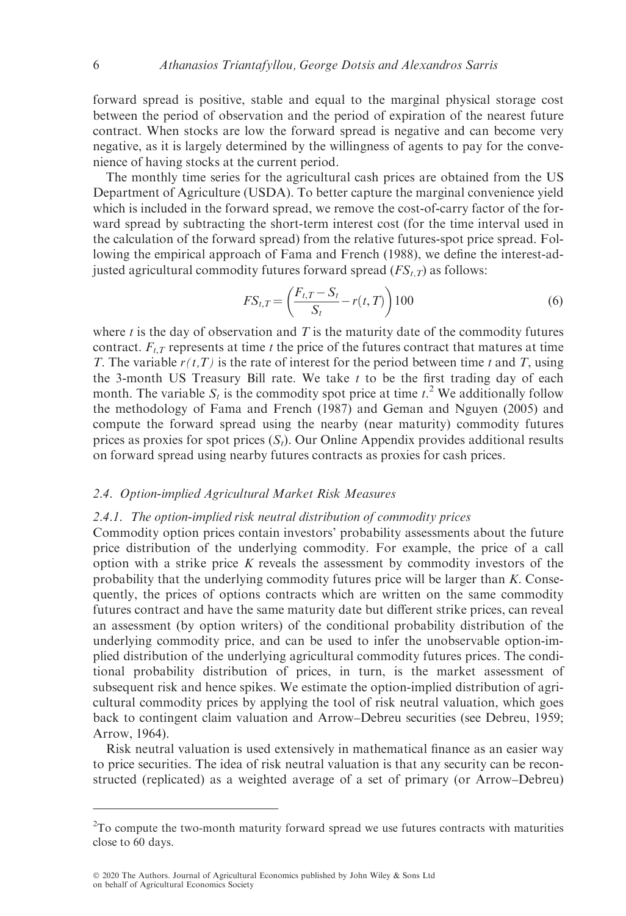forward spread is positive, stable and equal to the marginal physical storage cost between the period of observation and the period of expiration of the nearest future contract. When stocks are low the forward spread is negative and can become very negative, as it is largely determined by the willingness of agents to pay for the convenience of having stocks at the current period.

The monthly time series for the agricultural cash prices are obtained from the US Department of Agriculture (USDA). To better capture the marginal convenience yield which is included in the forward spread, we remove the cost-of-carry factor of the forward spread by subtracting the short-term interest cost (for the time interval used in the calculation of the forward spread) from the relative futures-spot price spread. Following the empirical approach of Fama and French (1988), we define the interest-adjusted agricultural commodity futures forward spread  $(FS_{t,T})$  as follows:

$$
FS_{t,T} = \left(\frac{F_{t,T} - S_t}{S_t} - r(t,T)\right)100\tag{6}
$$

where  $t$  is the day of observation and  $T$  is the maturity date of the commodity futures contract.  $F_{t,T}$  represents at time t the price of the futures contract that matures at time T. The variable  $r(t,T)$  is the rate of interest for the period between time t and T, using the 3-month US Treasury Bill rate. We take  $t$  to be the first trading day of each month. The variable  $S_t$  is the commodity spot price at time  $t^2$ . We additionally follow the methodology of Fama and French (1987) and Geman and Nguyen (2005) and compute the forward spread using the nearby (near maturity) commodity futures prices as proxies for spot prices  $(S<sub>i</sub>)$ . Our Online Appendix provides additional results on forward spread using nearby futures contracts as proxies for cash prices.

#### 2.4. Option-implied Agricultural Market Risk Measures

#### 2.4.1. The option-implied risk neutral distribution of commodity prices

Commodity option prices contain investors' probability assessments about the future price distribution of the underlying commodity. For example, the price of a call option with a strike price  $K$  reveals the assessment by commodity investors of the probability that the underlying commodity futures price will be larger than K. Consequently, the prices of options contracts which are written on the same commodity futures contract and have the same maturity date but different strike prices, can reveal an assessment (by option writers) of the conditional probability distribution of the underlying commodity price, and can be used to infer the unobservable option-implied distribution of the underlying agricultural commodity futures prices. The conditional probability distribution of prices, in turn, is the market assessment of subsequent risk and hence spikes. We estimate the option-implied distribution of agricultural commodity prices by applying the tool of risk neutral valuation, which goes back to contingent claim valuation and Arrow–Debreu securities (see Debreu, 1959; Arrow, 1964).

Risk neutral valuation is used extensively in mathematical finance as an easier way to price securities. The idea of risk neutral valuation is that any security can be reconstructed (replicated) as a weighted average of a set of primary (or Arrow–Debreu)

 $2$ To compute the two-month maturity forward spread we use futures contracts with maturities close to 60 days.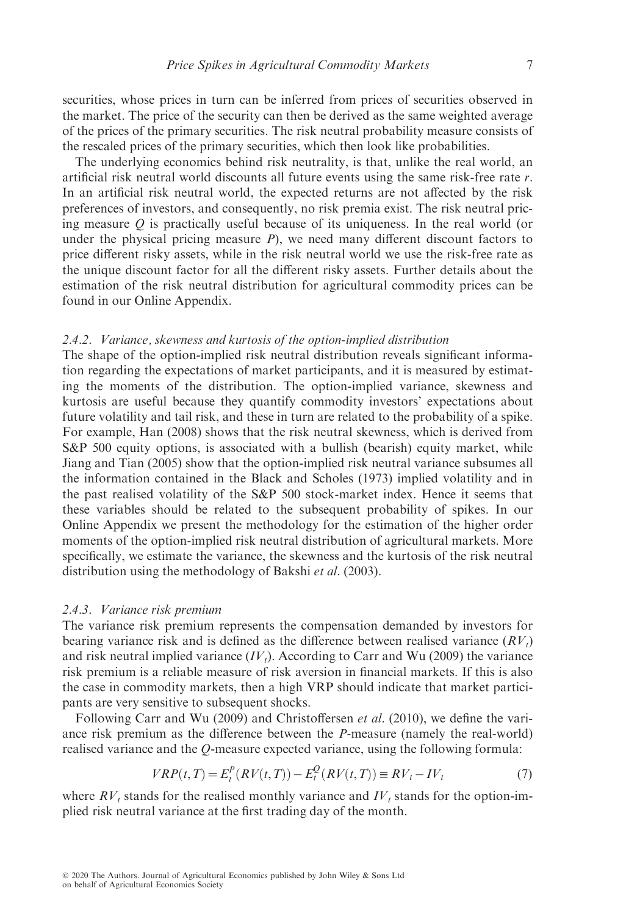securities, whose prices in turn can be inferred from prices of securities observed in the market. The price of the security can then be derived as the same weighted average of the prices of the primary securities. The risk neutral probability measure consists of the rescaled prices of the primary securities, which then look like probabilities.

The underlying economics behind risk neutrality, is that, unlike the real world, an artificial risk neutral world discounts all future events using the same risk-free rate r. In an artificial risk neutral world, the expected returns are not affected by the risk preferences of investors, and consequently, no risk premia exist. The risk neutral pricing measure  $Q$  is practically useful because of its uniqueness. In the real world (or under the physical pricing measure  $P$ ), we need many different discount factors to price different risky assets, while in the risk neutral world we use the risk-free rate as the unique discount factor for all the different risky assets. Further details about the estimation of the risk neutral distribution for agricultural commodity prices can be found in our Online Appendix.

# 2.4.2. Variance, skewness and kurtosis of the option-implied distribution

The shape of the option-implied risk neutral distribution reveals significant information regarding the expectations of market participants, and it is measured by estimating the moments of the distribution. The option-implied variance, skewness and kurtosis are useful because they quantify commodity investors' expectations about future volatility and tail risk, and these in turn are related to the probability of a spike. For example, Han (2008) shows that the risk neutral skewness, which is derived from S&P 500 equity options, is associated with a bullish (bearish) equity market, while Jiang and Tian (2005) show that the option-implied risk neutral variance subsumes all the information contained in the Black and Scholes (1973) implied volatility and in the past realised volatility of the S&P 500 stock-market index. Hence it seems that these variables should be related to the subsequent probability of spikes. In our Online Appendix we present the methodology for the estimation of the higher order moments of the option-implied risk neutral distribution of agricultural markets. More specifically, we estimate the variance, the skewness and the kurtosis of the risk neutral distribution using the methodology of Bakshi et al. (2003).

#### 2.4.3. Variance risk premium

The variance risk premium represents the compensation demanded by investors for bearing variance risk and is defined as the difference between realised variance  $(RV_t)$ and risk neutral implied variance  $(IV<sub>t</sub>)$ . According to Carr and Wu (2009) the variance risk premium is a reliable measure of risk aversion in financial markets. If this is also the case in commodity markets, then a high VRP should indicate that market participants are very sensitive to subsequent shocks.

Following Carr and Wu (2009) and Christoffersen *et al.* (2010), we define the variance risk premium as the difference between the P-measure (namely the real-world) realised variance and the Q-measure expected variance, using the following formula:

$$
VRP(t,T) = E_t^P(RV(t,T)) - E_t^Q(RV(t,T)) \equiv RV_t - IV_t
$$
 (7)

where  $RV<sub>t</sub>$  stands for the realised monthly variance and  $IV<sub>t</sub>$  stands for the option-implied risk neutral variance at the first trading day of the month.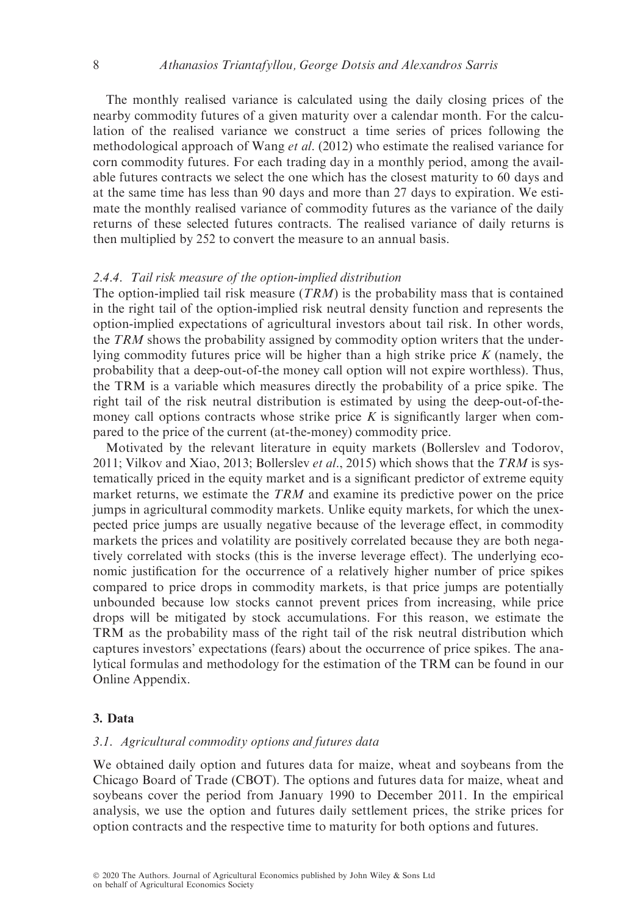The monthly realised variance is calculated using the daily closing prices of the nearby commodity futures of a given maturity over a calendar month. For the calculation of the realised variance we construct a time series of prices following the methodological approach of Wang et al. (2012) who estimate the realised variance for corn commodity futures. For each trading day in a monthly period, among the available futures contracts we select the one which has the closest maturity to 60 days and at the same time has less than 90 days and more than 27 days to expiration. We estimate the monthly realised variance of commodity futures as the variance of the daily returns of these selected futures contracts. The realised variance of daily returns is then multiplied by 252 to convert the measure to an annual basis.

#### 2.4.4. Tail risk measure of the option-implied distribution

The option-implied tail risk measure  $(TRM)$  is the probability mass that is contained in the right tail of the option-implied risk neutral density function and represents the option-implied expectations of agricultural investors about tail risk. In other words, the TRM shows the probability assigned by commodity option writers that the underlying commodity futures price will be higher than a high strike price  $K$  (namely, the probability that a deep-out-of-the money call option will not expire worthless). Thus, the TRM is a variable which measures directly the probability of a price spike. The right tail of the risk neutral distribution is estimated by using the deep-out-of-themoney call options contracts whose strike price  $K$  is significantly larger when compared to the price of the current (at-the-money) commodity price.

Motivated by the relevant literature in equity markets (Bollerslev and Todorov, 2011; Vilkov and Xiao, 2013; Bollerslev *et al.*, 2015) which shows that the TRM is systematically priced in the equity market and is a significant predictor of extreme equity market returns, we estimate the TRM and examine its predictive power on the price jumps in agricultural commodity markets. Unlike equity markets, for which the unexpected price jumps are usually negative because of the leverage effect, in commodity markets the prices and volatility are positively correlated because they are both negatively correlated with stocks (this is the inverse leverage effect). The underlying economic justification for the occurrence of a relatively higher number of price spikes compared to price drops in commodity markets, is that price jumps are potentially unbounded because low stocks cannot prevent prices from increasing, while price drops will be mitigated by stock accumulations. For this reason, we estimate the TRM as the probability mass of the right tail of the risk neutral distribution which captures investors' expectations (fears) about the occurrence of price spikes. The analytical formulas and methodology for the estimation of the TRM can be found in our Online Appendix.

# 3. Data

### 3.1. Agricultural commodity options and futures data

We obtained daily option and futures data for maize, wheat and soybeans from the Chicago Board of Trade (CBOT). The options and futures data for maize, wheat and soybeans cover the period from January 1990 to December 2011. In the empirical analysis, we use the option and futures daily settlement prices, the strike prices for option contracts and the respective time to maturity for both options and futures.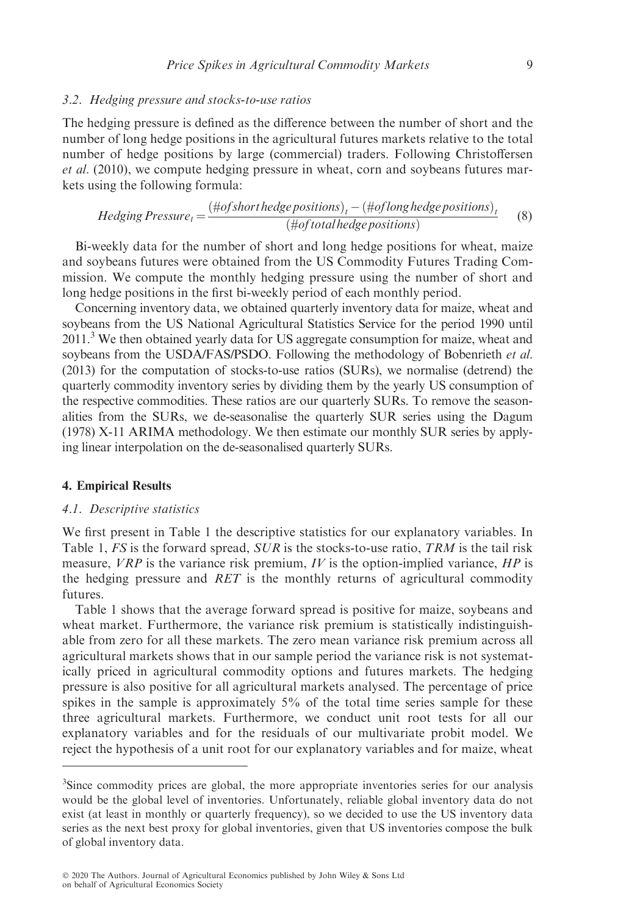### 3.2. Hedging pressure and stocks-to-use ratios

The hedging pressure is defined as the difference between the number of short and the number of long hedge positions in the agricultural futures markets relative to the total number of hedge positions by large (commercial) traders. Following Christoffersen et al. (2010), we compute hedging pressure in wheat, corn and soybeans futures markets using the following formula:

Hedging Pressure<sub>t</sub> = 
$$
\frac{\left(\text{#of short hedge positions}\right)_t - \left(\text{#of long hedge positions}\right)_t}{\left(\text{#of total hedge positions}\right)}
$$
(8)

Bi-weekly data for the number of short and long hedge positions for wheat, maize and soybeans futures were obtained from the US Commodity Futures Trading Commission. We compute the monthly hedging pressure using the number of short and long hedge positions in the first bi-weekly period of each monthly period.

Concerning inventory data, we obtained quarterly inventory data for maize, wheat and soybeans from the US National Agricultural Statistics Service for the period 1990 until 2011.<sup>3</sup> We then obtained yearly data for US aggregate consumption for maize, wheat and soybeans from the USDA/FAS/PSDO. Following the methodology of Bobenrieth et al. (2013) for the computation of stocks-to-use ratios (SURs), we normalise (detrend) the quarterly commodity inventory series by dividing them by the yearly US consumption of the respective commodities. These ratios are our quarterly SURs. To remove the seasonalities from the SURs, we de-seasonalise the quarterly SUR series using the Dagum (1978) X-11 ARIMA methodology. We then estimate our monthly SUR series by applying linear interpolation on the de-seasonalised quarterly SURs.

### 4. Empirical Results

#### 4.1. Descriptive statistics

We first present in Table 1 the descriptive statistics for our explanatory variables. In Table 1,  $FS$  is the forward spread,  $SUR$  is the stocks-to-use ratio, TRM is the tail risk measure,  $VRP$  is the variance risk premium, IV is the option-implied variance,  $HP$  is the hedging pressure and RET is the monthly returns of agricultural commodity futures.

Table 1 shows that the average forward spread is positive for maize, soybeans and wheat market. Furthermore, the variance risk premium is statistically indistinguishable from zero for all these markets. The zero mean variance risk premium across all agricultural markets shows that in our sample period the variance risk is not systematically priced in agricultural commodity options and futures markets. The hedging pressure is also positive for all agricultural markets analysed. The percentage of price spikes in the sample is approximately 5% of the total time series sample for these three agricultural markets. Furthermore, we conduct unit root tests for all our explanatory variables and for the residuals of our multivariate probit model. We reject the hypothesis of a unit root for our explanatory variables and for maize, wheat

<sup>&</sup>lt;sup>3</sup>Since commodity prices are global, the more appropriate inventories series for our analysis would be the global level of inventories. Unfortunately, reliable global inventory data do not exist (at least in monthly or quarterly frequency), so we decided to use the US inventory data series as the next best proxy for global inventories, given that US inventories compose the bulk of global inventory data.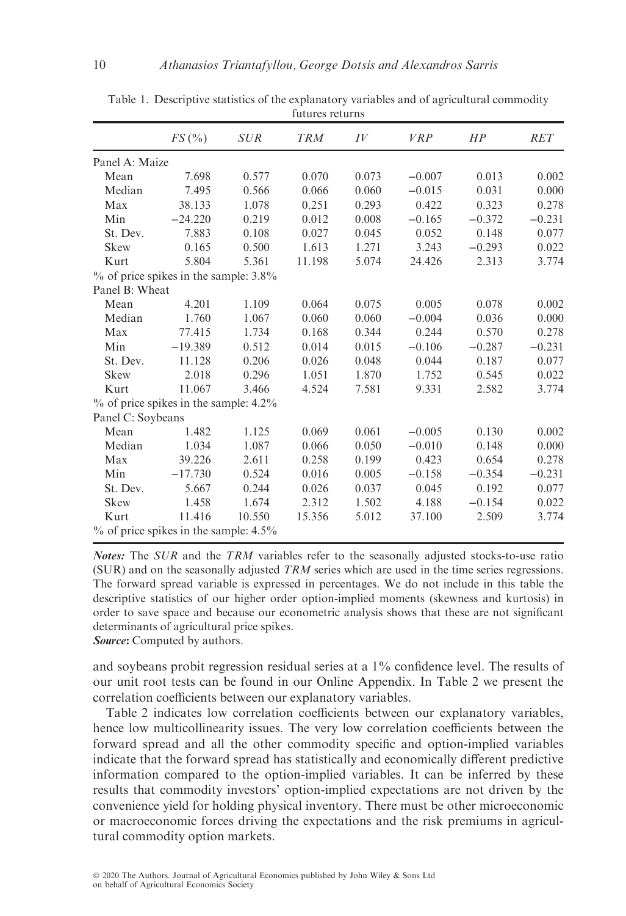|                   | FS(%)                                    | <b>SUR</b> | <b>TRM</b> | IV    | <b>VRP</b> | HP       | <b>RET</b> |
|-------------------|------------------------------------------|------------|------------|-------|------------|----------|------------|
| Panel A: Maize    |                                          |            |            |       |            |          |            |
| Mean              | 7.698                                    | 0.577      | 0.070      | 0.073 | $-0.007$   | 0.013    | 0.002      |
| Median            | 7.495                                    | 0.566      | 0.066      | 0.060 | $-0.015$   | 0.031    | 0.000      |
| Max               | 38.133                                   | 1.078      | 0.251      | 0.293 | 0.422      | 0.323    | 0.278      |
| Min               | $-24.220$                                | 0.219      | 0.012      | 0.008 | $-0.165$   | $-0.372$ | $-0.231$   |
| St. Dev.          | 7.883                                    | 0.108      | 0.027      | 0.045 | 0.052      | 0.148    | 0.077      |
| Skew              | 0.165                                    | 0.500      | 1.613      | 1.271 | 3.243      | $-0.293$ | 0.022      |
| Kurt              | 5.804                                    | 5.361      | 11.198     | 5.074 | 24.426     | 2.313    | 3.774      |
|                   | $\%$ of price spikes in the sample: 3.8% |            |            |       |            |          |            |
| Panel B: Wheat    |                                          |            |            |       |            |          |            |
| Mean              | 4.201                                    | 1.109      | 0.064      | 0.075 | 0.005      | 0.078    | 0.002      |
| Median            | 1.760                                    | 1.067      | 0.060      | 0.060 | $-0.004$   | 0.036    | 0.000      |
| Max               | 77.415                                   | 1.734      | 0.168      | 0.344 | 0.244      | 0.570    | 0.278      |
| Min               | $-19.389$                                | 0.512      | 0.014      | 0.015 | $-0.106$   | $-0.287$ | $-0.231$   |
| St. Dev.          | 11.128                                   | 0.206      | 0.026      | 0.048 | 0.044      | 0.187    | 0.077      |
| <b>Skew</b>       | 2.018                                    | 0.296      | 1.051      | 1.870 | 1.752      | 0.545    | 0.022      |
| Kurt              | 11.067                                   | 3.466      | 4.524      | 7.581 | 9.331      | 2.582    | 3.774      |
|                   | $\%$ of price spikes in the sample: 4.2% |            |            |       |            |          |            |
| Panel C: Soybeans |                                          |            |            |       |            |          |            |
| Mean              | 1.482                                    | 1.125      | 0.069      | 0.061 | $-0.005$   | 0.130    | 0.002      |
| Median            | 1.034                                    | 1.087      | 0.066      | 0.050 | $-0.010$   | 0.148    | 0.000      |
| Max               | 39.226                                   | 2.611      | 0.258      | 0.199 | 0.423      | 0.654    | 0.278      |
| Min               | $-17.730$                                | 0.524      | 0.016      | 0.005 | $-0.158$   | $-0.354$ | $-0.231$   |
| St. Dev.          | 5.667                                    | 0.244      | 0.026      | 0.037 | 0.045      | 0.192    | 0.077      |
| Skew              | 1.458                                    | 1.674      | 2.312      | 1.502 | 4.188      | $-0.154$ | 0.022      |
| Kurt              | 11.416                                   | 10.550     | 15.356     | 5.012 | 37.100     | 2.509    | 3.774      |
|                   | $\%$ of price spikes in the sample: 4.5% |            |            |       |            |          |            |

Table 1. Descriptive statistics of the explanatory variables and of agricultural commodity futures returns

Notes: The SUR and the TRM variables refer to the seasonally adjusted stocks-to-use ratio  $(SUR)$  and on the seasonally adjusted TRM series which are used in the time series regressions. The forward spread variable is expressed in percentages. We do not include in this table the descriptive statistics of our higher order option-implied moments (skewness and kurtosis) in order to save space and because our econometric analysis shows that these are not significant determinants of agricultural price spikes.

Source: Computed by authors.

and soybeans probit regression residual series at a 1% confidence level. The results of our unit root tests can be found in our Online Appendix. In Table 2 we present the correlation coefficients between our explanatory variables.

Table 2 indicates low correlation coefficients between our explanatory variables, hence low multicollinearity issues. The very low correlation coefficients between the forward spread and all the other commodity specific and option-implied variables indicate that the forward spread has statistically and economically different predictive information compared to the option-implied variables. It can be inferred by these results that commodity investors' option-implied expectations are not driven by the convenience yield for holding physical inventory. There must be other microeconomic or macroeconomic forces driving the expectations and the risk premiums in agricultural commodity option markets.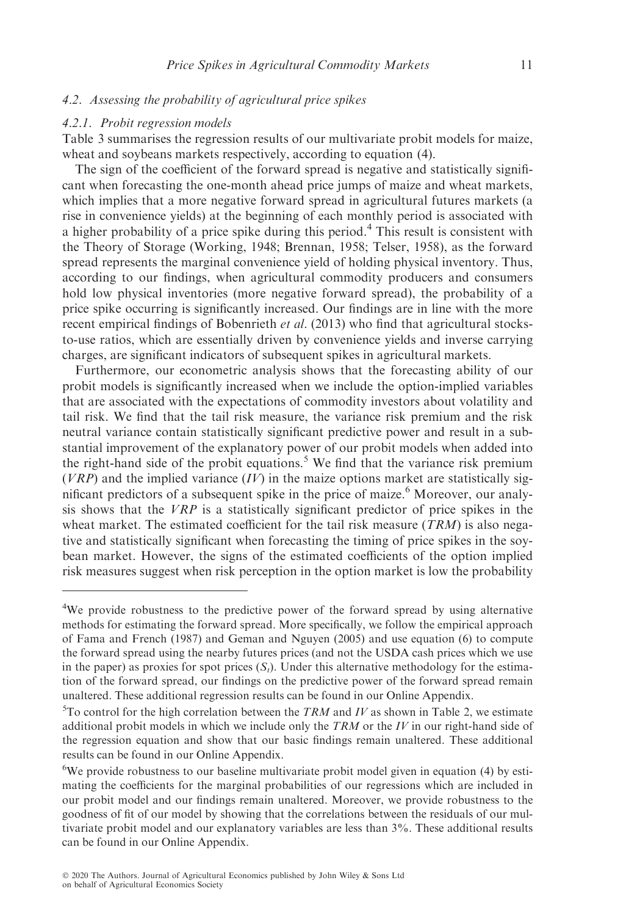# 4.2. Assessing the probability of agricultural price spikes

#### 4.2.1. Probit regression models

Table 3 summarises the regression results of our multivariate probit models for maize, wheat and soybeans markets respectively, according to equation (4).

The sign of the coefficient of the forward spread is negative and statistically significant when forecasting the one-month ahead price jumps of maize and wheat markets, which implies that a more negative forward spread in agricultural futures markets (a rise in convenience yields) at the beginning of each monthly period is associated with a higher probability of a price spike during this period.<sup>4</sup> This result is consistent with the Theory of Storage (Working, 1948; Brennan, 1958; Telser, 1958), as the forward spread represents the marginal convenience yield of holding physical inventory. Thus, according to our findings, when agricultural commodity producers and consumers hold low physical inventories (more negative forward spread), the probability of a price spike occurring is significantly increased. Our findings are in line with the more recent empirical findings of Bobenrieth et al. (2013) who find that agricultural stocksto-use ratios, which are essentially driven by convenience yields and inverse carrying charges, are significant indicators of subsequent spikes in agricultural markets.

Furthermore, our econometric analysis shows that the forecasting ability of our probit models is significantly increased when we include the option-implied variables that are associated with the expectations of commodity investors about volatility and tail risk. We find that the tail risk measure, the variance risk premium and the risk neutral variance contain statistically significant predictive power and result in a substantial improvement of the explanatory power of our probit models when added into the right-hand side of the probit equations.<sup>5</sup> We find that the variance risk premium  $(VRP)$  and the implied variance  $(IV)$  in the maize options market are statistically significant predictors of a subsequent spike in the price of maize.<sup>6</sup> Moreover, our analysis shows that the  $VRP$  is a statistically significant predictor of price spikes in the wheat market. The estimated coefficient for the tail risk measure  $(TRM)$  is also negative and statistically significant when forecasting the timing of price spikes in the soybean market. However, the signs of the estimated coefficients of the option implied risk measures suggest when risk perception in the option market is low the probability

<sup>&</sup>lt;sup>4</sup>We provide robustness to the predictive power of the forward spread by using alternative methods for estimating the forward spread. More specifically, we follow the empirical approach of Fama and French (1987) and Geman and Nguyen (2005) and use equation (6) to compute the forward spread using the nearby futures prices (and not the USDA cash prices which we use in the paper) as proxies for spot prices  $(S_t)$ . Under this alternative methodology for the estimation of the forward spread, our findings on the predictive power of the forward spread remain unaltered. These additional regression results can be found in our Online Appendix.

<sup>&</sup>lt;sup>5</sup>To control for the high correlation between the TRM and IV as shown in Table 2, we estimate additional probit models in which we include only the  $TRM$  or the  $IV$  in our right-hand side of the regression equation and show that our basic findings remain unaltered. These additional results can be found in our Online Appendix.

<sup>&</sup>lt;sup>6</sup>We provide robustness to our baseline multivariate probit model given in equation (4) by estimating the coefficients for the marginal probabilities of our regressions which are included in our probit model and our findings remain unaltered. Moreover, we provide robustness to the goodness of fit of our model by showing that the correlations between the residuals of our multivariate probit model and our explanatory variables are less than 3%. These additional results can be found in our Online Appendix.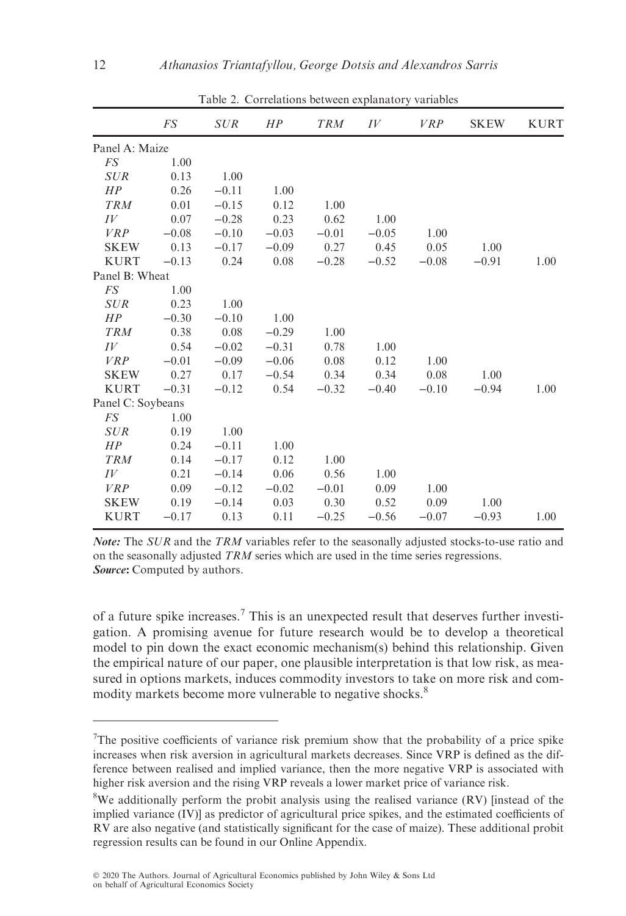|                   | FS      | <i>SUR</i> | HP       | <b>TRM</b> | IV      | <i>VRP</i> | <b>SKEW</b> | <b>KURT</b> |
|-------------------|---------|------------|----------|------------|---------|------------|-------------|-------------|
| Panel A: Maize    |         |            |          |            |         |            |             |             |
| FS                | 1.00    |            |          |            |         |            |             |             |
| <b>SUR</b>        | 0.13    | 1.00       |          |            |         |            |             |             |
| HP                | 0.26    | $-0.11$    | 1.00     |            |         |            |             |             |
| <b>TRM</b>        | 0.01    | $-0.15$    | 0.12     | 1.00       |         |            |             |             |
| IV                | 0.07    | $-0.28$    | 0.23     | 0.62       | 1.00    |            |             |             |
| VRP               | $-0.08$ | $-0.10$    | $-0.03$  | $-0.01$    | $-0.05$ | 1.00       |             |             |
| <b>SKEW</b>       | 0.13    | $-0.17$    | $-0.09$  | 0.27       | 0.45    | 0.05       | 1.00        |             |
| <b>KURT</b>       | $-0.13$ | 0.24       | $0.08\,$ | $-0.28$    | $-0.52$ | $-0.08$    | $-0.91$     | 1.00        |
| Panel B: Wheat    |         |            |          |            |         |            |             |             |
| FS                | 1.00    |            |          |            |         |            |             |             |
| <b>SUR</b>        | 0.23    | 1.00       |          |            |         |            |             |             |
| HP                | $-0.30$ | $-0.10$    | 1.00     |            |         |            |             |             |
| <b>TRM</b>        | 0.38    | 0.08       | $-0.29$  | 1.00       |         |            |             |             |
| IV                | 0.54    | $-0.02$    | $-0.31$  | 0.78       | 1.00    |            |             |             |
| VRP               | $-0.01$ | $-0.09$    | $-0.06$  | 0.08       | 0.12    | 1.00       |             |             |
| <b>SKEW</b>       | 0.27    | 0.17       | $-0.54$  | 0.34       | 0.34    | 0.08       | 1.00        |             |
| <b>KURT</b>       | $-0.31$ | $-0.12$    | 0.54     | $-0.32$    | $-0.40$ | $-0.10$    | $-0.94$     | 1.00        |
| Panel C: Soybeans |         |            |          |            |         |            |             |             |
| FS                | 1.00    |            |          |            |         |            |             |             |
| <b>SUR</b>        | 0.19    | 1.00       |          |            |         |            |             |             |
| HP                | 0.24    | $-0.11$    | 1.00     |            |         |            |             |             |
| <b>TRM</b>        | 0.14    | $-0.17$    | 0.12     | 1.00       |         |            |             |             |
| IV                | 0.21    | $-0.14$    | 0.06     | 0.56       | 1.00    |            |             |             |
| VRP               | 0.09    | $-0.12$    | $-0.02$  | $-0.01$    | 0.09    | 1.00       |             |             |
| <b>SKEW</b>       | 0.19    | $-0.14$    | 0.03     | 0.30       | 0.52    | 0.09       | 1.00        |             |
| <b>KURT</b>       | $-0.17$ | 0.13       | 0.11     | $-0.25$    | $-0.56$ | $-0.07$    | $-0.93$     | 1.00        |

Table 2. Correlations between explanatory variables

Note: The SUR and the TRM variables refer to the seasonally adjusted stocks-to-use ratio and on the seasonally adjusted TRM series which are used in the time series regressions. Source: Computed by authors.

of a future spike increases.<sup>7</sup> This is an unexpected result that deserves further investigation. A promising avenue for future research would be to develop a theoretical model to pin down the exact economic mechanism(s) behind this relationship. Given the empirical nature of our paper, one plausible interpretation is that low risk, as measured in options markets, induces commodity investors to take on more risk and commodity markets become more vulnerable to negative shocks.<sup>8</sup>

<sup>&</sup>lt;sup>7</sup>The positive coefficients of variance risk premium show that the probability of a price spike increases when risk aversion in agricultural markets decreases. Since VRP is defined as the difference between realised and implied variance, then the more negative VRP is associated with higher risk aversion and the rising VRP reveals a lower market price of variance risk.

<sup>&</sup>lt;sup>8</sup>We additionally perform the probit analysis using the realised variance (RV) [instead of the implied variance (IV)] as predictor of agricultural price spikes, and the estimated coefficients of RV are also negative (and statistically significant for the case of maize). These additional probit regression results can be found in our Online Appendix.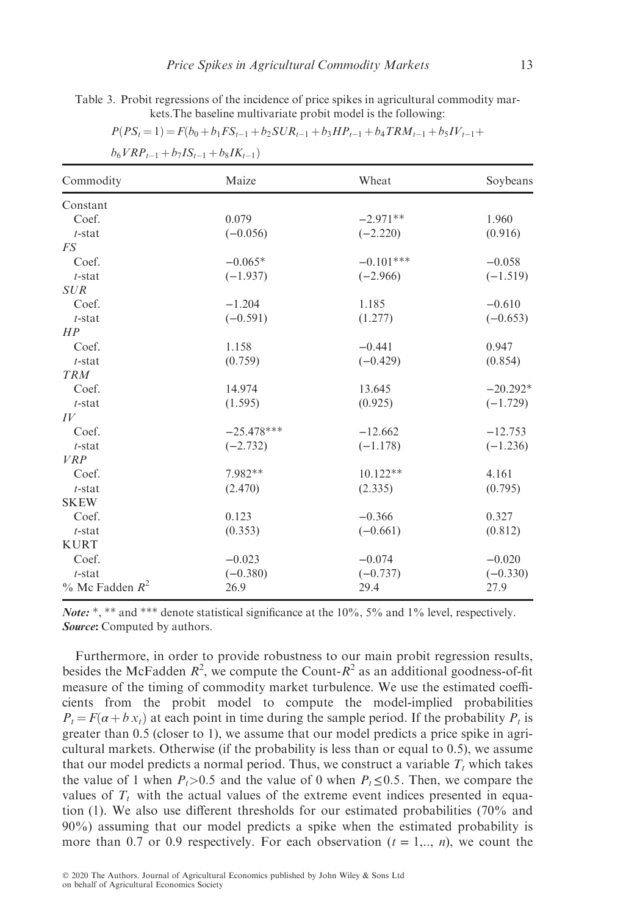Table 3. Probit regressions of the incidence of price spikes in agricultural commodity markets.The baseline multivariate probit model is the following:

 $\sum_{k=1}^{n}$ 

 $1 + \sigma$ 

 $1 + \epsilon$ 

| $b_6 V R P_{t-1} + b_7 I S_{t-1} + b_8 I K_{t-1}$ |              |             |            |
|---------------------------------------------------|--------------|-------------|------------|
| Commodity                                         | Maize        | Wheat       | Soybeans   |
| Constant                                          |              |             |            |
| Coef.                                             | 0.079        | $-2.971**$  | 1.960      |
| $t$ -stat                                         | $(-0.056)$   | $(-2.220)$  | (0.916)    |
| FS                                                |              |             |            |
| Coef.                                             | $-0.065*$    | $-0.101***$ | $-0.058$   |
| $t$ -stat                                         | $(-1.937)$   | $(-2.966)$  | $(-1.519)$ |
| <b>SUR</b>                                        |              |             |            |
| Coef.                                             | $-1.204$     | 1.185       | $-0.610$   |
| $t$ -stat                                         | $(-0.591)$   | (1.277)     | $(-0.653)$ |
| HP                                                |              |             |            |
| Coef.                                             | 1.158        | $-0.441$    | 0.947      |
| $t$ -stat                                         | (0.759)      | $(-0.429)$  | (0.854)    |
| <b>TRM</b>                                        |              |             |            |
| Coef.                                             | 14.974       | 13.645      | $-20.292*$ |
| $t$ -stat                                         | (1.595)      | (0.925)     | $(-1.729)$ |
| IV                                                |              |             |            |
| Coef.                                             | $-25.478***$ | $-12.662$   | $-12.753$  |
| $t$ -stat                                         | $(-2.732)$   | $(-1.178)$  | $(-1.236)$ |
| <b>VRP</b>                                        |              |             |            |
| Coef.                                             | 7.982**      | $10.122**$  | 4.161      |
| $t$ -stat                                         | (2.470)      | (2.335)     | (0.795)    |
| <b>SKEW</b>                                       |              |             |            |
| Coef.                                             | 0.123        | $-0.366$    | 0.327      |
| $t$ -stat                                         | (0.353)      | $(-0.661)$  | (0.812)    |
| <b>KURT</b>                                       |              |             |            |
| Coef.                                             | $-0.023$     | $-0.074$    | $-0.020$   |
| $t$ -stat                                         | $(-0.380)$   | $(-0.737)$  | $(-0.330)$ |
| $\%$ Mc Fadden $R^2$                              | 26.9         | 29.4        | 27.9       |

*Note:* \*, \*\* and \*\*\* denote statistical significance at the 10%, 5% and 1% level, respectively. Source: Computed by authors.

Furthermore, in order to provide robustness to our main probit regression results, besides the McFadden  $R^2$ , we compute the Count- $R^2$  as an additional goodness-of-fit measure of the timing of commodity market turbulence. We use the estimated coefficients from the probit model to compute the model-implied probabilities  $P_t = F(\alpha + b x_t)$  at each point in time during the sample period. If the probability  $P_t$  is greater than 0.5 (closer to 1), we assume that our model predicts a price spike in agricultural markets. Otherwise (if the probability is less than or equal to 0.5), we assume that our model predicts a normal period. Thus, we construct a variable  $T_t$  which takes the value of 1 when  $P_t>0.5$  and the value of 0 when  $P_t\leq 0.5$ . Then, we compare the values of  $T_t$  with the actual values of the extreme event indices presented in equation (1). We also use different thresholds for our estimated probabilities (70% and 90%) assuming that our model predicts a spike when the estimated probability is more than 0.7 or 0.9 respectively. For each observation  $(t = 1, \ldots, n)$ , we count the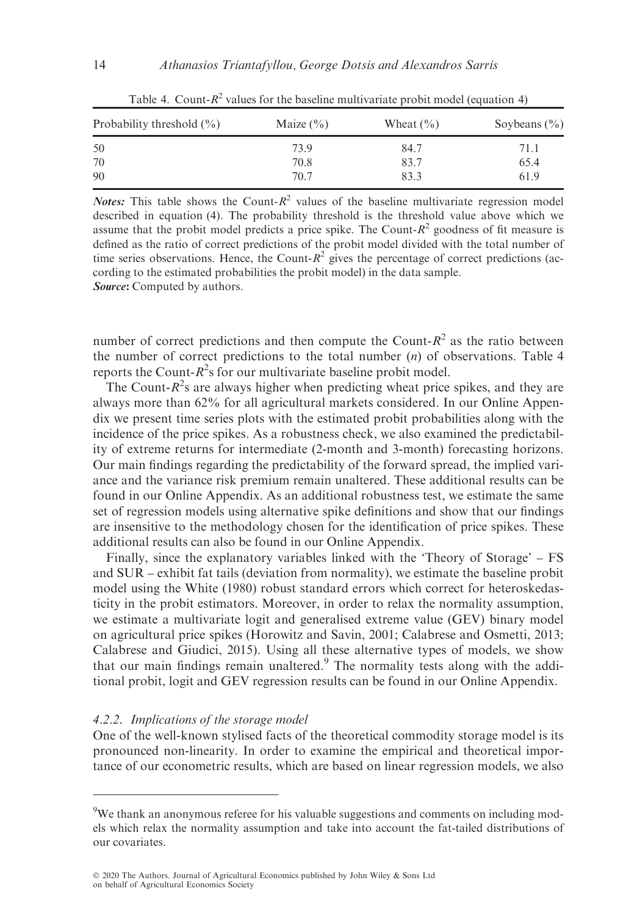| Probability threshold $(\% )$ | Maize $(\% )$ | Wheat $(\% )$ | Soybeans $(\% )$ |
|-------------------------------|---------------|---------------|------------------|
| 50                            | 73.9          | 84.7          | 71.1             |
| 70                            | 70.8          | 83.7          | 65.4             |
| 90                            | 70.7          | 83.3          | 61.9             |

Table 4. Count- $R^2$  values for the baseline multivariate probit model (equation 4)

**Notes:** This table shows the Count- $R^2$  values of the baseline multivariate regression model described in equation (4). The probability threshold is the threshold value above which we assume that the probit model predicts a price spike. The Count- $R^2$  goodness of fit measure is defined as the ratio of correct predictions of the probit model divided with the total number of time series observations. Hence, the Count- $R^2$  gives the percentage of correct predictions (according to the estimated probabilities the probit model) in the data sample. Source: Computed by authors.

number of correct predictions and then compute the Count- $R^2$  as the ratio between the number of correct predictions to the total number  $(n)$  of observations. Table 4 reports the Count- $R^2$ s for our multivariate baseline probit model.

The Count- $R^2$ s are always higher when predicting wheat price spikes, and they are always more than 62% for all agricultural markets considered. In our Online Appendix we present time series plots with the estimated probit probabilities along with the incidence of the price spikes. As a robustness check, we also examined the predictability of extreme returns for intermediate (2-month and 3-month) forecasting horizons. Our main findings regarding the predictability of the forward spread, the implied variance and the variance risk premium remain unaltered. These additional results can be found in our Online Appendix. As an additional robustness test, we estimate the same set of regression models using alternative spike definitions and show that our findings are insensitive to the methodology chosen for the identification of price spikes. These additional results can also be found in our Online Appendix.

Finally, since the explanatory variables linked with the 'Theory of Storage' – FS and SUR – exhibit fat tails (deviation from normality), we estimate the baseline probit model using the White (1980) robust standard errors which correct for heteroskedasticity in the probit estimators. Moreover, in order to relax the normality assumption, we estimate a multivariate logit and generalised extreme value (GEV) binary model on agricultural price spikes (Horowitz and Savin, 2001; Calabrese and Osmetti, 2013; Calabrese and Giudici, 2015). Using all these alternative types of models, we show that our main findings remain unaltered.<sup>9</sup> The normality tests along with the additional probit, logit and GEV regression results can be found in our Online Appendix.

#### 4.2.2. Implications of the storage model

One of the well-known stylised facts of the theoretical commodity storage model is its pronounced non-linearity. In order to examine the empirical and theoretical importance of our econometric results, which are based on linear regression models, we also

<sup>&</sup>lt;sup>9</sup>We thank an anonymous referee for his valuable suggestions and comments on including models which relax the normality assumption and take into account the fat-tailed distributions of our covariates.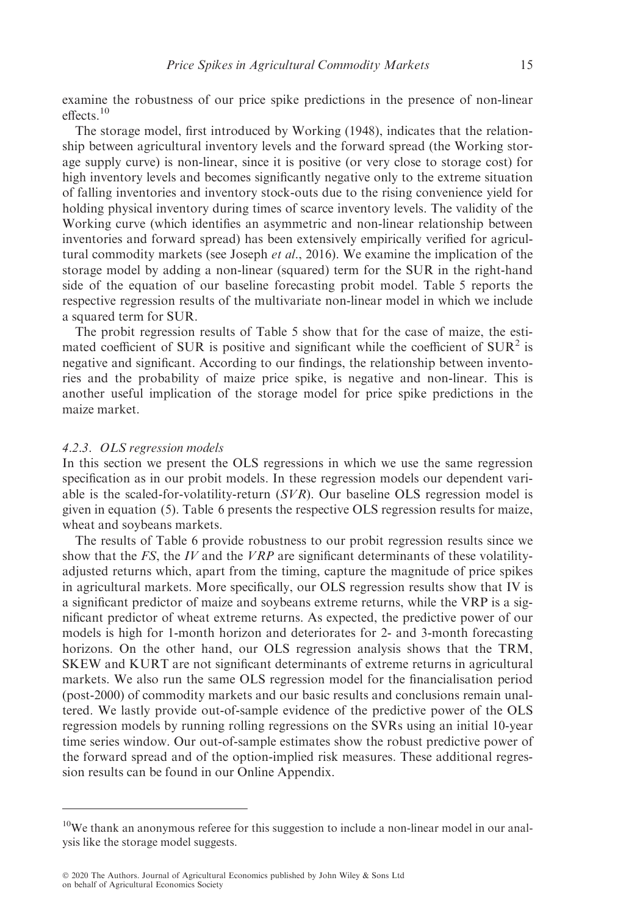examine the robustness of our price spike predictions in the presence of non-linear effects.<sup>10</sup>

The storage model, first introduced by Working (1948), indicates that the relationship between agricultural inventory levels and the forward spread (the Working storage supply curve) is non-linear, since it is positive (or very close to storage cost) for high inventory levels and becomes significantly negative only to the extreme situation of falling inventories and inventory stock-outs due to the rising convenience yield for holding physical inventory during times of scarce inventory levels. The validity of the Working curve (which identifies an asymmetric and non-linear relationship between inventories and forward spread) has been extensively empirically verified for agricultural commodity markets (see Joseph et al., 2016). We examine the implication of the storage model by adding a non-linear (squared) term for the SUR in the right-hand side of the equation of our baseline forecasting probit model. Table 5 reports the respective regression results of the multivariate non-linear model in which we include a squared term for SUR.

The probit regression results of Table 5 show that for the case of maize, the estimated coefficient of SUR is positive and significant while the coefficient of  $\text{SUR}^2$  is negative and significant. According to our findings, the relationship between inventories and the probability of maize price spike, is negative and non-linear. This is another useful implication of the storage model for price spike predictions in the maize market.

# 4.2.3. OLS regression models

In this section we present the OLS regressions in which we use the same regression specification as in our probit models. In these regression models our dependent variable is the scaled-for-volatility-return  $(SVR)$ . Our baseline OLS regression model is given in equation (5). Table 6 presents the respective OLS regression results for maize, wheat and soybeans markets.

The results of Table 6 provide robustness to our probit regression results since we show that the FS, the IV and the  $VRP$  are significant determinants of these volatilityadjusted returns which, apart from the timing, capture the magnitude of price spikes in agricultural markets. More specifically, our OLS regression results show that IV is a significant predictor of maize and soybeans extreme returns, while the VRP is a significant predictor of wheat extreme returns. As expected, the predictive power of our models is high for 1-month horizon and deteriorates for 2- and 3-month forecasting horizons. On the other hand, our OLS regression analysis shows that the TRM, SKEW and KURT are not significant determinants of extreme returns in agricultural markets. We also run the same OLS regression model for the financialisation period (post-2000) of commodity markets and our basic results and conclusions remain unaltered. We lastly provide out-of-sample evidence of the predictive power of the OLS regression models by running rolling regressions on the SVRs using an initial 10-year time series window. Our out-of-sample estimates show the robust predictive power of the forward spread and of the option-implied risk measures. These additional regression results can be found in our Online Appendix.

<sup>&</sup>lt;sup>10</sup>We thank an anonymous referee for this suggestion to include a non-linear model in our analysis like the storage model suggests.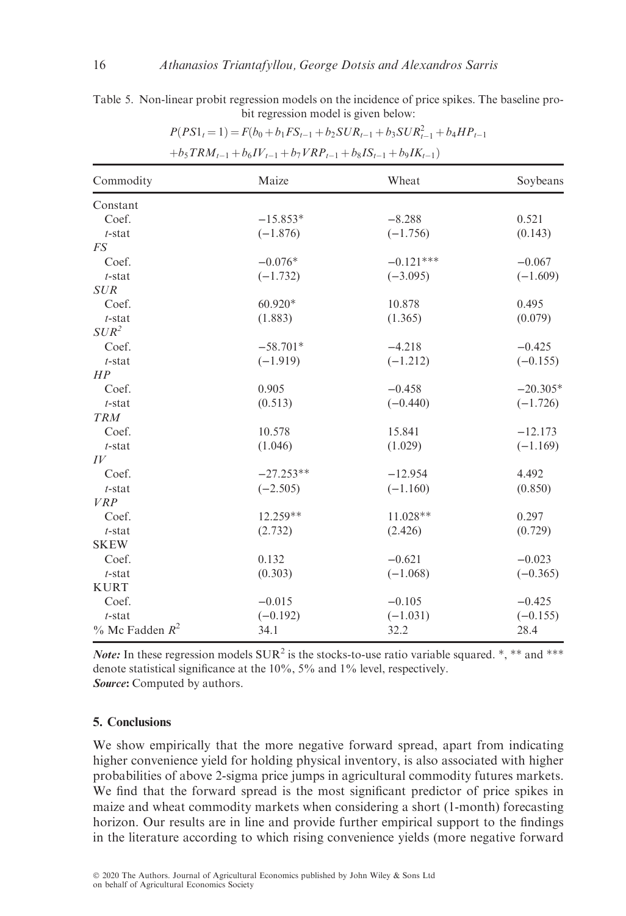Table 5. Non-linear probit regression models on the incidence of price spikes. The baseline probit regression model is given below:

| Commodity                | Maize       | Wheat       | Soybeans   |
|--------------------------|-------------|-------------|------------|
| Constant                 |             |             |            |
| Coef.                    | $-15.853*$  | $-8.288$    | 0.521      |
| $t$ -stat                | $(-1.876)$  | $(-1.756)$  | (0.143)    |
| $\mathcal{F}\mathcal{S}$ |             |             |            |
| Coef.                    | $-0.076*$   | $-0.121***$ | $-0.067$   |
| $t$ -stat                | $(-1.732)$  | $(-3.095)$  | $(-1.609)$ |
| <b>SUR</b>               |             |             |            |
| Coef.                    | $60.920*$   | 10.878      | 0.495      |
| $t$ -stat                | (1.883)     | (1.365)     | (0.079)    |
| $SUR^2$                  |             |             |            |
| Coef.                    | $-58.701*$  | $-4.218$    | $-0.425$   |
| $t$ -stat                | $(-1.919)$  | $(-1.212)$  | $(-0.155)$ |
| HP                       |             |             |            |
| Coef.                    | 0.905       | $-0.458$    | $-20.305*$ |
| $t$ -stat                | (0.513)     | $(-0.440)$  | $(-1.726)$ |
| <b>TRM</b>               |             |             |            |
| Coef.                    | 10.578      | 15.841      | $-12.173$  |
| $t$ -stat                | (1.046)     | (1.029)     | $(-1.169)$ |
| IV                       |             |             |            |
| Coef.                    | $-27.253**$ | $-12.954$   | 4.492      |
| $t$ -stat                | $(-2.505)$  | $(-1.160)$  | (0.850)    |
| <b>VRP</b>               |             |             |            |
| Coef.                    | $12.259**$  | $11.028**$  | 0.297      |
| $t$ -stat                | (2.732)     | (2.426)     | (0.729)    |
| <b>SKEW</b>              |             |             |            |
| Coef.                    | 0.132       | $-0.621$    | $-0.023$   |
| $t$ -stat                | (0.303)     | $(-1.068)$  | $(-0.365)$ |
| <b>KURT</b>              |             |             |            |
| Coef.                    | $-0.015$    | $-0.105$    | $-0.425$   |
| $t$ -stat                | $(-0.192)$  | $(-1.031)$  | $(-0.155)$ |
| $\%$ Mc Fadden $R^2$     | 34.1        | 32.2        | 28.4       |

 $P(PS1_t = 1) = F(b_0 + b_1 FS_{t-1} + b_2 SUR_{t-1} + b_3 SUR_{t-1}^2 + b_4 HP_{t-1}$ 

 $+b_5TRM_{t-1} + b_6IV_{t-1} + b_7VRP_{t-1} + b_8IS_{t-1} + b_9IK_{t-1})$ 

*Note:* In these regression models  $\text{SUR}^2$  is the stocks-to-use ratio variable squared. \*, \*\* and \*\*\* denote statistical significance at the 10%, 5% and 1% level, respectively. Source: Computed by authors.

# 5. Conclusions

We show empirically that the more negative forward spread, apart from indicating higher convenience yield for holding physical inventory, is also associated with higher probabilities of above 2-sigma price jumps in agricultural commodity futures markets. We find that the forward spread is the most significant predictor of price spikes in maize and wheat commodity markets when considering a short (1-month) forecasting horizon. Our results are in line and provide further empirical support to the findings in the literature according to which rising convenience yields (more negative forward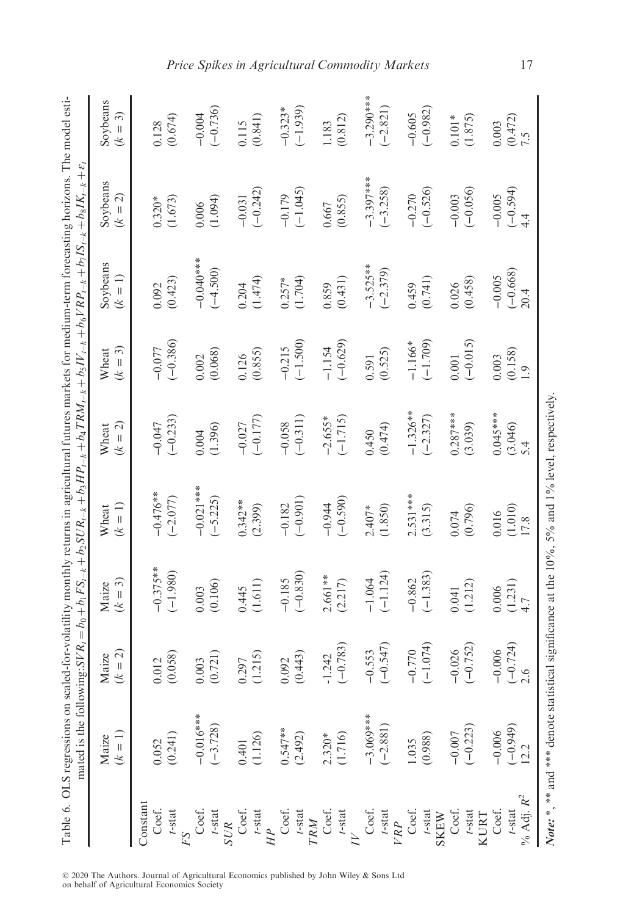|                            | Table 6. OLS regressions on scaled-for-volatility monthly returns in agricultural futures markets for medium-term forecasting horizons. The model esti-<br>mated is the following: SVR, = $b_0 + b_1FS_{-k} + b_2SUR_{-k} + b_3HP_{-k} + b_4TRM_{-k} + b_5IV_{-k} + b_6YRP_{-k} + b_7IS_{-k} + b_8IK_{-k} + c_6I_{-k}$ |                                        |                    |                    |                    |                           |                       |                             |                     |
|----------------------------|------------------------------------------------------------------------------------------------------------------------------------------------------------------------------------------------------------------------------------------------------------------------------------------------------------------------|----------------------------------------|--------------------|--------------------|--------------------|---------------------------|-----------------------|-----------------------------|---------------------|
|                            | $(k = 1)$<br>Maize                                                                                                                                                                                                                                                                                                     | $= 2$<br>Maize<br>$\widetilde{\kappa}$ | $(k = 3)$<br>Maize | $(k = 1)$<br>Wheat | $(k = 2)$<br>Wheat | $(k = 3)$<br>Wheat        | Soybeans<br>$(k = 1)$ | Soybeans<br>$(k = 2)$       | Soybeans<br>$(k=3)$ |
| Constant                   |                                                                                                                                                                                                                                                                                                                        |                                        |                    |                    |                    |                           |                       |                             |                     |
| Coef.                      | 0.052                                                                                                                                                                                                                                                                                                                  | 0.012                                  | $-0.375**$         | $-0.476**$         | $-0.047$           | $-0.077$                  | 0.092                 | $0.320*$                    | 0.128               |
| $t$ -stat                  | (0.241)                                                                                                                                                                                                                                                                                                                | (0.058)                                | $(-1.980)$         | $(-2.077)$         | $(-0.233)$         | $(-0.386)$                | (0.423)               | (1.673)                     | (0.674)             |
|                            |                                                                                                                                                                                                                                                                                                                        |                                        |                    |                    |                    |                           |                       |                             |                     |
| Coef.                      | $-0.016$ ***                                                                                                                                                                                                                                                                                                           | 0.003                                  | 0.003              | $-0.021$ ***       | 0.004              | 0.002                     | $-0.000$              | 0.006                       | $-0.004$            |
| $t$ -stat<br><b>SUR</b>    | $(-3.728)$                                                                                                                                                                                                                                                                                                             | (0.721)                                | (0.106)            | $(-5.225)$         | (1.396)            | (0.068)                   | $(-4.500)$            | (1.094)                     | $(-0.736)$          |
| Coef.                      | 0.401                                                                                                                                                                                                                                                                                                                  |                                        | 0.445              | $0.342**$          | $-0.027$           | 0.126                     | 0.204                 | $-0.031$                    | 0.115               |
| $\frac{t\text{-stat}}{HP}$ | (1.126)                                                                                                                                                                                                                                                                                                                | $\frac{0.297}{(1.215)}$                | (1.611)            | (2.399)            | $(-0.177)$         | (0.855)                   | (1.474)               | $(-0.242)$                  | (0.841)             |
|                            |                                                                                                                                                                                                                                                                                                                        |                                        |                    |                    |                    |                           |                       |                             |                     |
| Coef.                      | $0.547**$                                                                                                                                                                                                                                                                                                              | 0.092                                  | $-0.185$           | $-0.182$           | $-0.058$           | $-0.215$                  | $0.257*$              | $-0.179$                    | $-0.323*$           |
| $t\mbox{-stat}$ $TRM$      | (2.492)                                                                                                                                                                                                                                                                                                                | (0.443)                                | $(-0.830)$         | $(-0.901)$         | $(-0.311)$         | $(-1.500)$                | (1.704)               | $(-1.045)$                  | $(-1.939)$          |
|                            |                                                                                                                                                                                                                                                                                                                        |                                        |                    |                    |                    |                           |                       |                             |                     |
| Coef.                      | 2.320*                                                                                                                                                                                                                                                                                                                 | $-1.242$                               | $2.661**$          | $-0.944$           | $-2.655*$          | $-1.154$                  | 0.859                 | 0.667                       | 1.183               |
| $t$ -stat                  |                                                                                                                                                                                                                                                                                                                        | $(-0.783)$                             | (2.217)            | $(-0.590)$         | $(-1.715)$         | $(-0.629)$                | (0.431)               | (0.855)                     | (0.812)             |
|                            |                                                                                                                                                                                                                                                                                                                        |                                        |                    |                    |                    |                           |                       |                             |                     |
| Coef.                      | $-3.069***$                                                                                                                                                                                                                                                                                                            | $-0.553$                               | $-1.064$           | $2.407*$           | 0.450              | 0.591                     | $-3.525**$            | $-3.397***$                 | $-3.290***$         |
| $t$ -stat                  | $(-2.881)$                                                                                                                                                                                                                                                                                                             | $(-0.547)$                             | $(-1.124)$         | (1.850)            | (0.474)            | (0.525)                   | $(-2.379)$            | $(-3.258)$                  | $(-2.821)$          |
| Coef.<br>VRP               | 1.035                                                                                                                                                                                                                                                                                                                  | $-0.770$                               | $-0.862$           | $2.531***$         | $-1.326**$         | $-1.166*$                 | 0.459                 | $-0.270$                    | $-0.605$            |
| $t$ -stat                  | (0.988)                                                                                                                                                                                                                                                                                                                | $(-1.074)$                             | $(-1.383)$         | (3.315)            | $(-2.327)$         | $(-1.709)$                | (0.741)               | $(-0.526)$                  | $(-0.982)$          |
| <b>SKEW</b>                |                                                                                                                                                                                                                                                                                                                        |                                        |                    |                    |                    |                           |                       |                             |                     |
| Coef.                      | $-0.007$                                                                                                                                                                                                                                                                                                               | $-0.026$                               | 0.041              | $0.074$            | $0.287***$         | $0.001$                   | 0.026                 | $-0.003$                    | $0.101*$            |
| $t\text{-stat}$ KURT       | $(-0.223)$                                                                                                                                                                                                                                                                                                             | $(-0.752)$                             | (1.212)            | (0.796)            | (3.039)            | $(-0.015)$                | (0.458)               | $(-0.056)$                  | (1.875)             |
| Coef.                      | $-0.006$                                                                                                                                                                                                                                                                                                               | $-0.006$                               | 0.006              | 0.016              | $0.045***$         | 0.003                     | $-0.005$              | $-0.005$                    | 0.003               |
| $t$ -stat                  | $(-0.949)$<br>12.2                                                                                                                                                                                                                                                                                                     | $(-0.724)$                             | (1.231)            | (1.010)<br>17.8    | (3.046)<br>5.4     | (0.158)<br>$\overline{0}$ | $(-0.668)$<br>20.4    | $(-0.594)$<br>$\frac{4}{4}$ | $(0.472)$<br>7.5    |
| % Adj. $R^2$               |                                                                                                                                                                                                                                                                                                                        |                                        |                    |                    |                    |                           |                       |                             |                     |

*Note:* \*, \*\* and \*\*\* denote statistical significance at the  $10\%$ , 5% and 1% level, respectively.

Note: \*, \*\* and \*\*\* denote statistical significance at the 10%, 5% and 1% level, respectively.

2020 The Authors. Journal of Agricultural Economics published by John Wiley & Sons Ltd on behalf of Agricultural Economics Society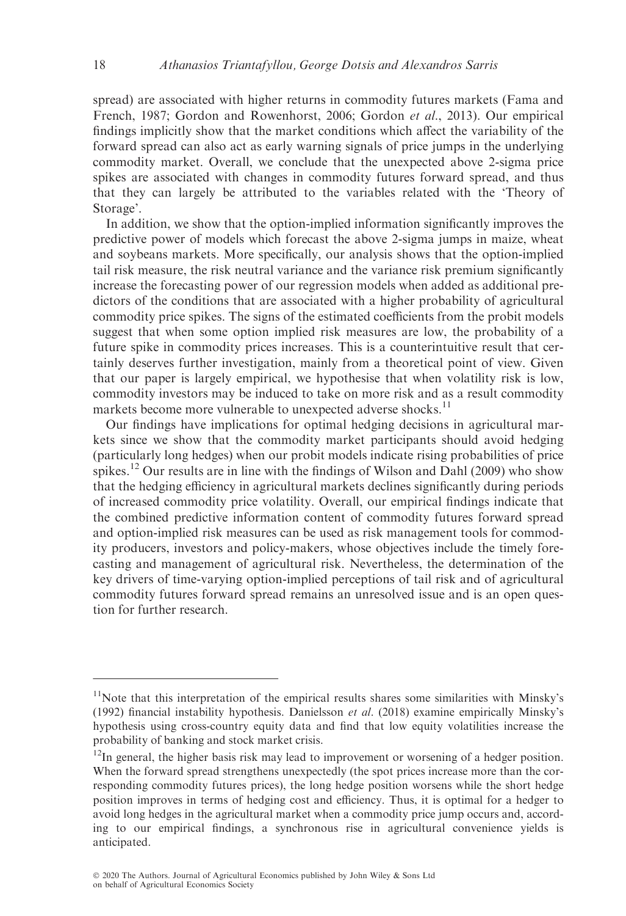spread) are associated with higher returns in commodity futures markets (Fama and French, 1987; Gordon and Rowenhorst, 2006; Gordon et al., 2013). Our empirical findings implicitly show that the market conditions which affect the variability of the forward spread can also act as early warning signals of price jumps in the underlying commodity market. Overall, we conclude that the unexpected above 2-sigma price spikes are associated with changes in commodity futures forward spread, and thus that they can largely be attributed to the variables related with the 'Theory of Storage'.

In addition, we show that the option-implied information significantly improves the predictive power of models which forecast the above 2-sigma jumps in maize, wheat and soybeans markets. More specifically, our analysis shows that the option-implied tail risk measure, the risk neutral variance and the variance risk premium significantly increase the forecasting power of our regression models when added as additional predictors of the conditions that are associated with a higher probability of agricultural commodity price spikes. The signs of the estimated coefficients from the probit models suggest that when some option implied risk measures are low, the probability of a future spike in commodity prices increases. This is a counterintuitive result that certainly deserves further investigation, mainly from a theoretical point of view. Given that our paper is largely empirical, we hypothesise that when volatility risk is low, commodity investors may be induced to take on more risk and as a result commodity markets become more vulnerable to unexpected adverse shocks.<sup>11</sup>

Our findings have implications for optimal hedging decisions in agricultural markets since we show that the commodity market participants should avoid hedging (particularly long hedges) when our probit models indicate rising probabilities of price spikes.<sup>12</sup> Our results are in line with the findings of Wilson and Dahl (2009) who show that the hedging efficiency in agricultural markets declines significantly during periods of increased commodity price volatility. Overall, our empirical findings indicate that the combined predictive information content of commodity futures forward spread and option-implied risk measures can be used as risk management tools for commodity producers, investors and policy-makers, whose objectives include the timely forecasting and management of agricultural risk. Nevertheless, the determination of the key drivers of time-varying option-implied perceptions of tail risk and of agricultural commodity futures forward spread remains an unresolved issue and is an open question for further research.

<sup>&</sup>lt;sup>11</sup>Note that this interpretation of the empirical results shares some similarities with Minsky's (1992) financial instability hypothesis. Danielsson *et al.* (2018) examine empirically Minsky's hypothesis using cross-country equity data and find that low equity volatilities increase the probability of banking and stock market crisis.

 $12$ In general, the higher basis risk may lead to improvement or worsening of a hedger position. When the forward spread strengthens unexpectedly (the spot prices increase more than the corresponding commodity futures prices), the long hedge position worsens while the short hedge position improves in terms of hedging cost and efficiency. Thus, it is optimal for a hedger to avoid long hedges in the agricultural market when a commodity price jump occurs and, according to our empirical findings, a synchronous rise in agricultural convenience yields is anticipated.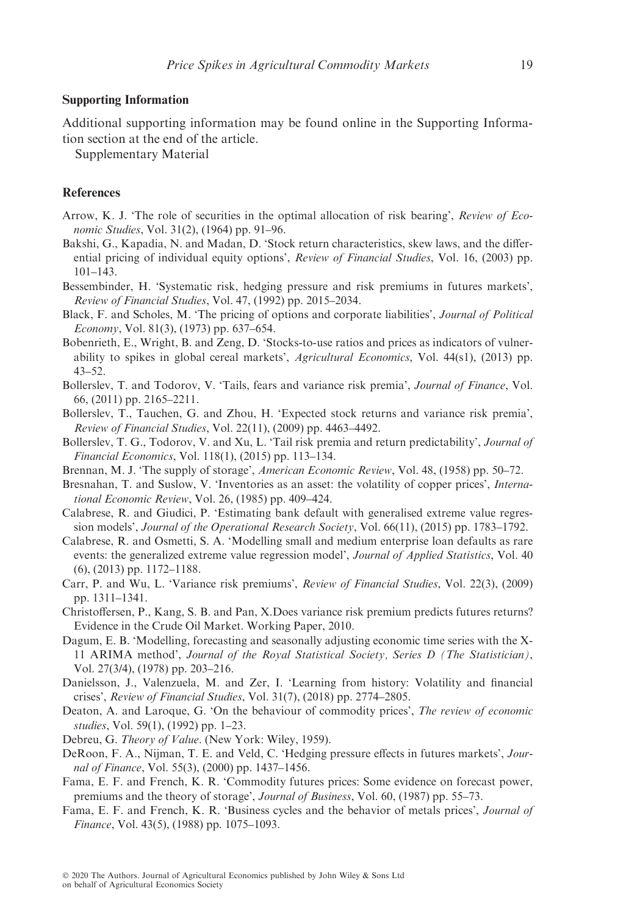# Supporting Information

Additional supporting information may be found online in the Supporting Information section at the end of the article.

Supplementary Material

# **References**

- Arrow, K. J. 'The role of securities in the optimal allocation of risk bearing', Review of Economic Studies, Vol. 31(2), (1964) pp. 91–96.
- Bakshi, G., Kapadia, N. and Madan, D. 'Stock return characteristics, skew laws, and the differential pricing of individual equity options', Review of Financial Studies, Vol. 16, (2003) pp. 101–143.
- Bessembinder, H. 'Systematic risk, hedging pressure and risk premiums in futures markets', Review of Financial Studies, Vol. 47, (1992) pp. 2015–2034.
- Black, F. and Scholes, M. 'The pricing of options and corporate liabilities', Journal of Political Economy, Vol. 81(3), (1973) pp. 637–654.
- Bobenrieth, E., Wright, B. and Zeng, D. 'Stocks-to-use ratios and prices as indicators of vulnerability to spikes in global cereal markets', Agricultural Economics, Vol. 44(s1), (2013) pp. 43–52.
- Bollerslev, T. and Todorov, V. 'Tails, fears and variance risk premia', Journal of Finance, Vol. 66, (2011) pp. 2165–2211.
- Bollerslev, T., Tauchen, G. and Zhou, H. 'Expected stock returns and variance risk premia', Review of Financial Studies, Vol. 22(11), (2009) pp. 4463–4492.
- Bollerslev, T. G., Todorov, V. and Xu, L. 'Tail risk premia and return predictability', Journal of Financial Economics, Vol. 118(1), (2015) pp. 113–134.
- Brennan, M. J. 'The supply of storage', American Economic Review, Vol. 48, (1958) pp. 50–72.
- Bresnahan, T. and Suslow, V. 'Inventories as an asset: the volatility of copper prices', International Economic Review, Vol. 26, (1985) pp. 409–424.
- Calabrese, R. and Giudici, P. 'Estimating bank default with generalised extreme value regression models', Journal of the Operational Research Society, Vol. 66(11), (2015) pp. 1783–1792.
- Calabrese, R. and Osmetti, S. A. 'Modelling small and medium enterprise loan defaults as rare events: the generalized extreme value regression model', *Journal of Applied Statistics*, Vol. 40 (6), (2013) pp. 1172–1188.
- Carr, P. and Wu, L. 'Variance risk premiums', Review of Financial Studies, Vol. 22(3), (2009) pp. 1311–1341.
- Christoffersen, P., Kang, S. B. and Pan, X.Does variance risk premium predicts futures returns? Evidence in the Crude Oil Market. Working Paper, 2010.
- Dagum, E. B. 'Modelling, forecasting and seasonally adjusting economic time series with the X-11 ARIMA method', Journal of the Royal Statistical Society, Series D (The Statistician), Vol. 27(3/4), (1978) pp. 203–216.
- Danielsson, J., Valenzuela, M. and Zer, I. 'Learning from history: Volatility and financial crises', Review of Financial Studies, Vol. 31(7), (2018) pp. 2774–2805.
- Deaton, A. and Laroque, G. 'On the behaviour of commodity prices', The review of economic studies, Vol. 59(1), (1992) pp. 1–23.
- Debreu, G. Theory of Value. (New York: Wiley, 1959).
- DeRoon, F. A., Nijman, T. E. and Veld, C. 'Hedging pressure effects in futures markets', Journal of Finance, Vol. 55(3), (2000) pp. 1437–1456.
- Fama, E. F. and French, K. R. 'Commodity futures prices: Some evidence on forecast power, premiums and the theory of storage', Journal of Business, Vol. 60, (1987) pp. 55–73.
- Fama, E. F. and French, K. R. 'Business cycles and the behavior of metals prices', Journal of Finance, Vol. 43(5), (1988) pp. 1075–1093.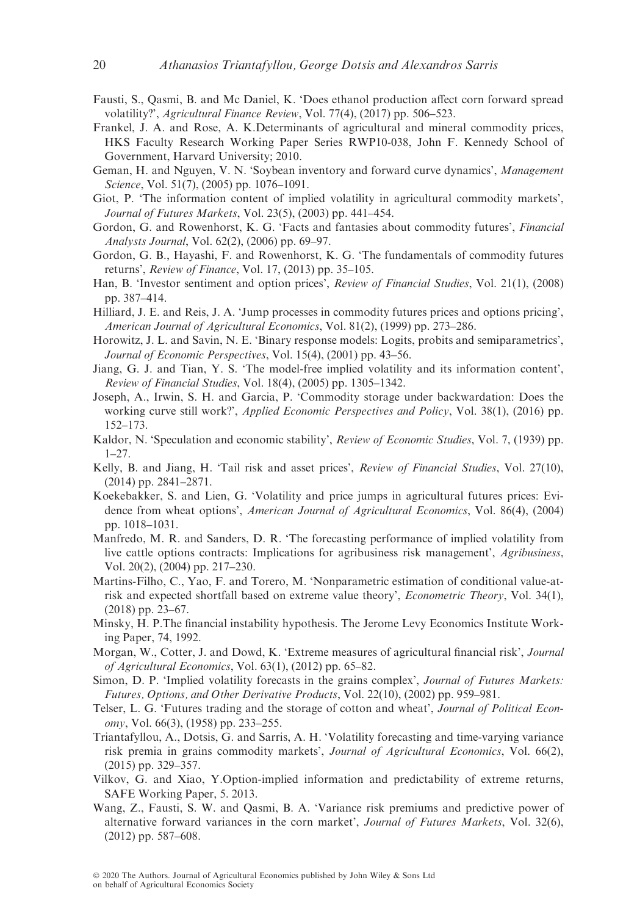- Fausti, S., Qasmi, B. and Mc Daniel, K. 'Does ethanol production affect corn forward spread volatility?', Agricultural Finance Review, Vol. 77(4), (2017) pp. 506–523.
- Frankel, J. A. and Rose, A. K.Determinants of agricultural and mineral commodity prices, HKS Faculty Research Working Paper Series RWP10-038, John F. Kennedy School of Government, Harvard University; 2010.
- Geman, H. and Nguyen, V. N. 'Soybean inventory and forward curve dynamics', Management Science, Vol. 51(7), (2005) pp. 1076-1091.
- Giot, P. 'The information content of implied volatility in agricultural commodity markets', Journal of Futures Markets, Vol. 23(5), (2003) pp. 441–454.
- Gordon, G. and Rowenhorst, K. G. 'Facts and fantasies about commodity futures', Financial Analysts Journal, Vol. 62(2), (2006) pp. 69–97.
- Gordon, G. B., Hayashi, F. and Rowenhorst, K. G. 'The fundamentals of commodity futures returns', Review of Finance, Vol. 17, (2013) pp. 35–105.
- Han, B. 'Investor sentiment and option prices', Review of Financial Studies, Vol. 21(1), (2008) pp. 387–414.
- Hilliard, J. E. and Reis, J. A. 'Jump processes in commodity futures prices and options pricing', American Journal of Agricultural Economics, Vol. 81(2), (1999) pp. 273–286.
- Horowitz, J. L. and Savin, N. E. 'Binary response models: Logits, probits and semiparametrics', Journal of Economic Perspectives, Vol. 15(4), (2001) pp. 43–56.
- Jiang, G. J. and Tian, Y. S. 'The model-free implied volatility and its information content', Review of Financial Studies, Vol. 18(4), (2005) pp. 1305–1342.
- Joseph, A., Irwin, S. H. and Garcia, P. 'Commodity storage under backwardation: Does the working curve still work?', *Applied Economic Perspectives and Policy*, Vol. 38(1), (2016) pp. 152–173.
- Kaldor, N. 'Speculation and economic stability', Review of Economic Studies, Vol. 7, (1939) pp. 1–27.
- Kelly, B. and Jiang, H. 'Tail risk and asset prices', Review of Financial Studies, Vol. 27(10), (2014) pp. 2841–2871.
- Koekebakker, S. and Lien, G. 'Volatility and price jumps in agricultural futures prices: Evidence from wheat options', American Journal of Agricultural Economics, Vol. 86(4), (2004) pp. 1018–1031.
- Manfredo, M. R. and Sanders, D. R. 'The forecasting performance of implied volatility from live cattle options contracts: Implications for agribusiness risk management', Agribusiness, Vol. 20(2), (2004) pp. 217–230.
- Martins-Filho, C., Yao, F. and Torero, M. 'Nonparametric estimation of conditional value-atrisk and expected shortfall based on extreme value theory', Econometric Theory, Vol. 34(1), (2018) pp. 23–67.
- Minsky, H. P.The financial instability hypothesis. The Jerome Levy Economics Institute Working Paper, 74, 1992.
- Morgan, W., Cotter, J. and Dowd, K. 'Extreme measures of agricultural financial risk', Journal of Agricultural Economics, Vol. 63(1), (2012) pp. 65–82.
- Simon, D. P. 'Implied volatility forecasts in the grains complex', Journal of Futures Markets: Futures, Options, and Other Derivative Products, Vol. 22(10), (2002) pp. 959–981.
- Telser, L. G. 'Futures trading and the storage of cotton and wheat', Journal of Political Economy, Vol. 66(3), (1958) pp. 233–255.
- Triantafyllou, A., Dotsis, G. and Sarris, A. H. 'Volatility forecasting and time-varying variance risk premia in grains commodity markets', Journal of Agricultural Economics, Vol. 66(2), (2015) pp. 329–357.
- Vilkov, G. and Xiao, Y.Option-implied information and predictability of extreme returns, SAFE Working Paper, 5. 2013.
- Wang, Z., Fausti, S. W. and Qasmi, B. A. 'Variance risk premiums and predictive power of alternative forward variances in the corn market', Journal of Futures Markets, Vol. 32(6), (2012) pp. 587–608.